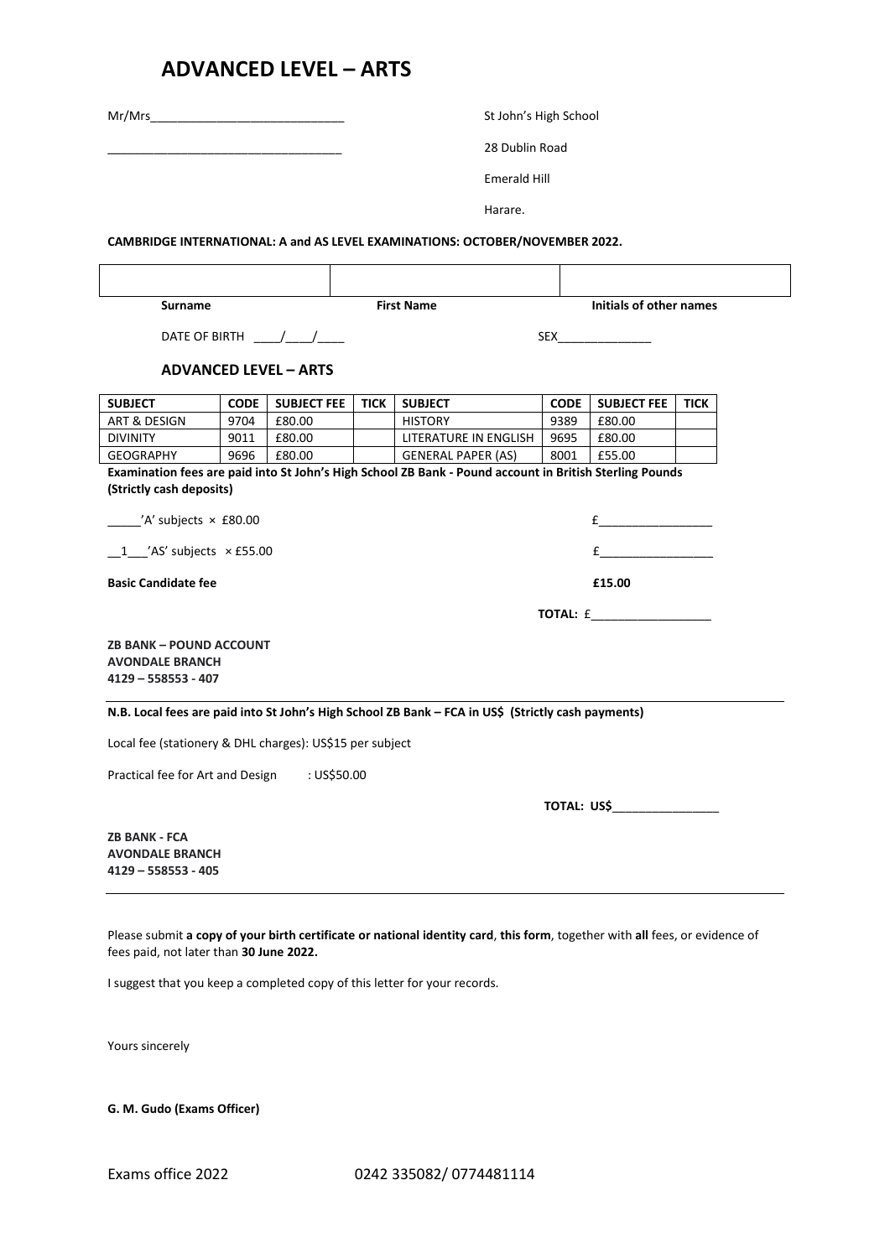## **ADVANCED LEVEL – ARTS**

|                                                                                 |              |                                                | St John's High School                                                                                                                                                                                                         |                                                                                                                             |              |                    |             |  |
|---------------------------------------------------------------------------------|--------------|------------------------------------------------|-------------------------------------------------------------------------------------------------------------------------------------------------------------------------------------------------------------------------------|-----------------------------------------------------------------------------------------------------------------------------|--------------|--------------------|-------------|--|
|                                                                                 |              |                                                | 28 Dublin Road                                                                                                                                                                                                                |                                                                                                                             |              |                    |             |  |
|                                                                                 |              |                                                | <b>Emerald Hill</b>                                                                                                                                                                                                           |                                                                                                                             |              |                    |             |  |
|                                                                                 |              |                                                |                                                                                                                                                                                                                               | Harare.                                                                                                                     |              |                    |             |  |
|                                                                                 |              |                                                |                                                                                                                                                                                                                               |                                                                                                                             |              |                    |             |  |
|                                                                                 |              |                                                |                                                                                                                                                                                                                               | CAMBRIDGE INTERNATIONAL: A and AS LEVEL EXAMINATIONS: OCTOBER/NOVEMBER 2022.                                                |              |                    |             |  |
|                                                                                 |              |                                                |                                                                                                                                                                                                                               |                                                                                                                             |              |                    |             |  |
| <b>Surname</b>                                                                  |              |                                                | Initials of other names<br><b>First Name</b>                                                                                                                                                                                  |                                                                                                                             |              |                    |             |  |
|                                                                                 |              | DATE OF BIRTH $\frac{1}{\sqrt{1-\frac{1}{2}}}$ |                                                                                                                                                                                                                               |                                                                                                                             |              |                    |             |  |
|                                                                                 |              | <b>ADVANCED LEVEL - ARTS</b>                   |                                                                                                                                                                                                                               |                                                                                                                             |              |                    |             |  |
|                                                                                 |              |                                                |                                                                                                                                                                                                                               |                                                                                                                             |              |                    |             |  |
| <b>SUBJECT</b>                                                                  | CODE         | <b>SUBJECT FEE</b>                             | <b>TICK</b>                                                                                                                                                                                                                   | <b>SUBJECT</b>                                                                                                              | <b>CODE</b>  | <b>SUBJECT FEE</b> | <b>TICK</b> |  |
| ART & DESIGN<br><b>DIVINITY</b>                                                 | 9704<br>9011 | £80.00<br>£80.00                               |                                                                                                                                                                                                                               | <b>HISTORY</b><br>LITERATURE IN ENGLISH                                                                                     | 9389<br>9695 | £80.00<br>£80.00   |             |  |
| <b>GEOGRAPHY</b>                                                                | 9696         | £80.00                                         |                                                                                                                                                                                                                               | <b>GENERAL PAPER (AS)</b>                                                                                                   | 8001         | £55.00             |             |  |
|                                                                                 |              |                                                |                                                                                                                                                                                                                               | Examination fees are paid into St John's High School ZB Bank - Pound account in British Sterling Pounds                     |              |                    |             |  |
| (Strictly cash deposits)                                                        |              |                                                |                                                                                                                                                                                                                               |                                                                                                                             |              |                    |             |  |
| $\frac{1}{2}$ /A' subjects $\times$ £80.00                                      |              |                                                |                                                                                                                                                                                                                               |                                                                                                                             |              |                    |             |  |
| $1$ $\prime$ AS' subjects $\times$ £55.00                                       |              |                                                | $f$ and $f$ and $f$ and $f$ and $f$ and $f$ and $f$ and $f$ and $f$ and $f$ and $f$ and $f$ and $f$ and $f$ and $f$ and $f$ and $f$ and $f$ and $f$ and $f$ and $f$ and $f$ and $f$ and $f$ and $f$ and $f$ and $f$ and $f$ a |                                                                                                                             |              |                    |             |  |
| <b>Basic Candidate fee</b>                                                      |              |                                                | £15.00                                                                                                                                                                                                                        |                                                                                                                             |              |                    |             |  |
|                                                                                 |              |                                                |                                                                                                                                                                                                                               |                                                                                                                             |              | <b>TOTAL:</b> £    |             |  |
| <b>ZB BANK - POUND ACCOUNT</b><br><b>AVONDALE BRANCH</b><br>4129 - 558553 - 407 |              |                                                |                                                                                                                                                                                                                               |                                                                                                                             |              |                    |             |  |
|                                                                                 |              |                                                |                                                                                                                                                                                                                               | N.B. Local fees are paid into St John's High School ZB Bank - FCA in US\$ (Strictly cash payments)                          |              |                    |             |  |
| Local fee (stationery & DHL charges): US\$15 per subject                        |              |                                                |                                                                                                                                                                                                                               |                                                                                                                             |              |                    |             |  |
| Practical fee for Art and Design                                                |              | : US\$50.00                                    |                                                                                                                                                                                                                               |                                                                                                                             |              |                    |             |  |
|                                                                                 |              |                                                |                                                                                                                                                                                                                               |                                                                                                                             |              | TOTAL: US\$        |             |  |
| <b>ZB BANK - FCA</b><br><b>AVONDALE BRANCH</b><br>4129 - 558553 - 405           |              |                                                |                                                                                                                                                                                                                               |                                                                                                                             |              |                    |             |  |
| fees paid, not later than 30 June 2022.                                         |              |                                                |                                                                                                                                                                                                                               | Please submit a copy of your birth certificate or national identity card, this form, together with all fees, or evidence of |              |                    |             |  |

I suggest that you keep a completed copy of this letter for your records.

Yours sincerely

**G. M. Gudo (Exams Officer)**